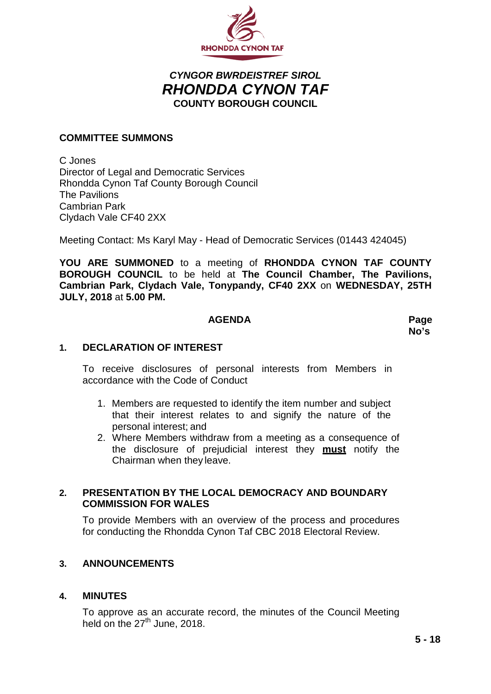

## *CYNGOR BWRDEISTREF SIROL RHONDDA CYNON TAF* **COUNTY BOROUGH COUNCIL**

#### **COMMITTEE SUMMONS**

C Jones Director of Legal and Democratic Services Rhondda Cynon Taf County Borough Council The Pavilions Cambrian Park Clydach Vale CF40 2XX

Meeting Contact: Ms Karyl May - Head of Democratic Services (01443 424045)

**YOU ARE SUMMONED** to a meeting of **RHONDDA CYNON TAF COUNTY BOROUGH COUNCIL** to be held at **The Council Chamber, The Pavilions, Cambrian Park, Clydach Vale, Tonypandy, CF40 2XX** on **WEDNESDAY, 25TH JULY, 2018** at **5.00 PM.**

#### **AGENDA Page**

**No's**

#### **1. DECLARATION OF INTEREST**

To receive disclosures of personal interests from Members in accordance with the Code of Conduct

- 1. Members are requested to identify the item number and subject that their interest relates to and signify the nature of the personal interest; and
- 2. Where Members withdraw from a meeting as a consequence of the disclosure of prejudicial interest they **must** notify the Chairman when they leave.

#### **2. PRESENTATION BY THE LOCAL DEMOCRACY AND BOUNDARY COMMISSION FOR WALES**

To provide Members with an overview of the process and procedures for conducting the Rhondda Cynon Taf CBC 2018 Electoral Review.

#### **3. ANNOUNCEMENTS**

#### **4. MINUTES**

To approve as an accurate record, the minutes of the Council Meeting held on the  $27<sup>th</sup>$  June, 2018.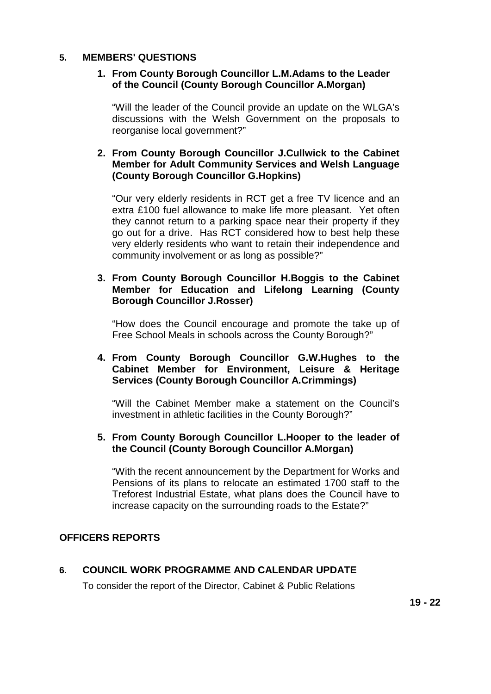#### **5. MEMBERS' QUESTIONS**

#### **1. From County Borough Councillor L.M.Adams to the Leader of the Council (County Borough Councillor A.Morgan)**

"Will the leader of the Council provide an update on the WLGA's discussions with the Welsh Government on the proposals to reorganise local government?"

#### **2. From County Borough Councillor J.Cullwick to the Cabinet Member for Adult Community Services and Welsh Language (County Borough Councillor G.Hopkins)**

"Our very elderly residents in RCT get a free TV licence and an extra £100 fuel allowance to make life more pleasant. Yet often they cannot return to a parking space near their property if they go out for a drive. Has RCT considered how to best help these very elderly residents who want to retain their independence and community involvement or as long as possible?"

#### **3. From County Borough Councillor H.Boggis to the Cabinet Member for Education and Lifelong Learning (County Borough Councillor J.Rosser)**

"How does the Council encourage and promote the take up of Free School Meals in schools across the County Borough?"

#### **4. From County Borough Councillor G.W.Hughes to the Cabinet Member for Environment, Leisure & Heritage Services (County Borough Councillor A.Crimmings)**

"Will the Cabinet Member make a statement on the Council's investment in athletic facilities in the County Borough?"

#### **5. From County Borough Councillor L.Hooper to the leader of the Council (County Borough Councillor A.Morgan)**

"With the recent announcement by the Department for Works and Pensions of its plans to relocate an estimated 1700 staff to the Treforest Industrial Estate, what plans does the Council have to increase capacity on the surrounding roads to the Estate?"

### **OFFICERS REPORTS**

#### **6. COUNCIL WORK PROGRAMME AND CALENDAR UPDATE**

To consider the report of the Director, Cabinet & Public Relations